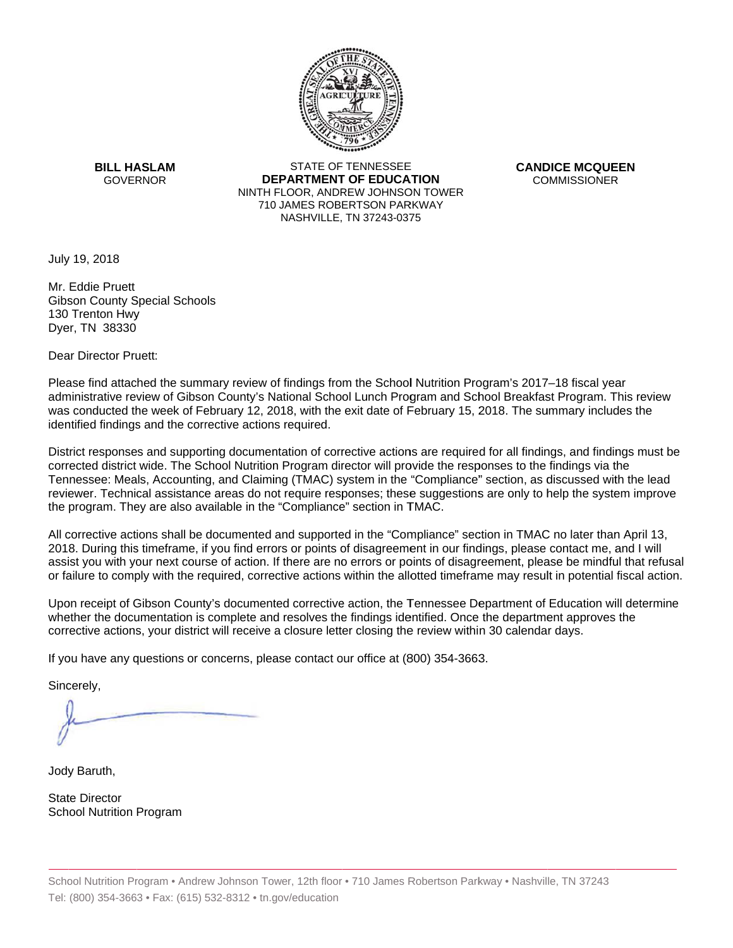

**BILL HASLAM** GOVERNOR **DEI** 

STATE OF TENNESSEE **EPARTMENT OF EDUCATION** NINTH FLOOR, ANDREW JOHNSON TOWER 710 JAMES ROBERTSON PARKWAY NASHVILLE,TN 37243-0375

**CANDICE MCQUEEN** CO OMMISSIONER

July 19, 2018

Mr. Eddie Pruett Gibson County Special Schools 130 Trenton Hwy Dyer, TN 38330

Dear Director Pruett:

Please find attached the summary review of findings from the School Nutrition Program's 2017–18 fiscal year administrative review of Gibson County's National School Lunch Program and School Breakfast Program. This review was conducted the week of February 12, 2018, with the exit date of February 15, 2018. The summary includes the identified findings and the corrective actions required.

Tennessee: Meals, Accounting, and Claiming (TMAC) system in the "Compliance" section, as discussed with the lead District responses and supporting documentation of corrective actions are required for all findings, and findings must be corrected district wide. The School Nutrition Program director will provide the responses to the findings via the reviewer. Technical assistance areas do not require responses; these suggestions are only to help the system improve the program. They are also available in the "Compliance" section in TMAC.

All corrective actions shall be documented and supported in the "Compliance" section in TMAC no later than April 13, 2018. During this timeframe, if you find errors or points of disagreement in our findings, please contact me, and I will assist you with your next course of action. If there are no errors or points of disagreement, please be mindful that refusal or failure to comply with the required, corrective actions within the allotted timeframe may result in potential fiscal action.

Upon receipt of Gibson County's documented corrective action, the Tennessee Department of Education will determine whether the documentation is complete and resolves the findings identified. Once the department approves the corrective actions, your district will receive a closure letter closing the review within 30 calendar days.

If you have any questions or concerns, please contact our office at (800) 354-3663.

Sincerely,

Jody Baruth,

State Director School Nutrition Program